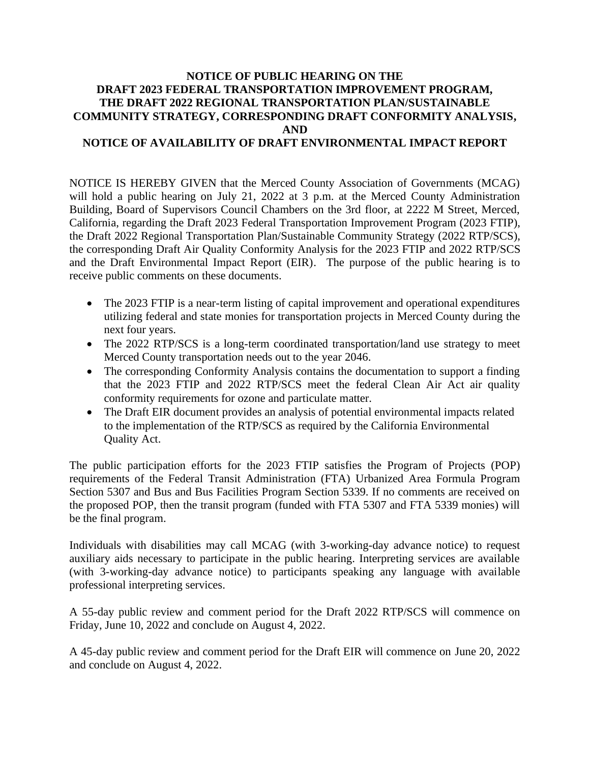## **NOTICE OF PUBLIC HEARING ON THE DRAFT 2023 FEDERAL TRANSPORTATION IMPROVEMENT PROGRAM, THE DRAFT 2022 REGIONAL TRANSPORTATION PLAN/SUSTAINABLE COMMUNITY STRATEGY, CORRESPONDING DRAFT CONFORMITY ANALYSIS, AND**

## **NOTICE OF AVAILABILITY OF DRAFT ENVIRONMENTAL IMPACT REPORT**

NOTICE IS HEREBY GIVEN that the Merced County Association of Governments (MCAG) will hold a public hearing on July 21, 2022 at 3 p.m. at the Merced County Administration Building, Board of Supervisors Council Chambers on the 3rd floor, at 2222 M Street, Merced, California, regarding the Draft 2023 Federal Transportation Improvement Program (2023 FTIP), the Draft 2022 Regional Transportation Plan/Sustainable Community Strategy (2022 RTP/SCS), the corresponding Draft Air Quality Conformity Analysis for the 2023 FTIP and 2022 RTP/SCS and the Draft Environmental Impact Report (EIR). The purpose of the public hearing is to receive public comments on these documents.

- The 2023 FTIP is a near-term listing of capital improvement and operational expenditures utilizing federal and state monies for transportation projects in Merced County during the next four years.
- The 2022 RTP/SCS is a long-term coordinated transportation/land use strategy to meet Merced County transportation needs out to the year 2046.
- The corresponding Conformity Analysis contains the documentation to support a finding that the 2023 FTIP and 2022 RTP/SCS meet the federal Clean Air Act air quality conformity requirements for ozone and particulate matter.
- The Draft EIR document provides an analysis of potential environmental impacts related to the implementation of the RTP/SCS as required by the California Environmental Quality Act.

The public participation efforts for the 2023 FTIP satisfies the Program of Projects (POP) requirements of the Federal Transit Administration (FTA) Urbanized Area Formula Program Section 5307 and Bus and Bus Facilities Program Section 5339. If no comments are received on the proposed POP, then the transit program (funded with FTA 5307 and FTA 5339 monies) will be the final program.

Individuals with disabilities may call MCAG (with 3-working-day advance notice) to request auxiliary aids necessary to participate in the public hearing. Interpreting services are available (with 3-working-day advance notice) to participants speaking any language with available professional interpreting services.

A 55-day public review and comment period for the Draft 2022 RTP/SCS will commence on Friday, June 10, 2022 and conclude on August 4, 2022.

A 45-day public review and comment period for the Draft EIR will commence on June 20, 2022 and conclude on August 4, 2022.